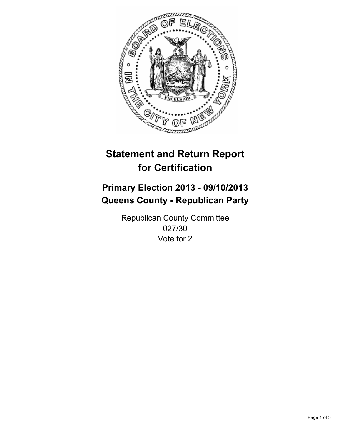

# **Statement and Return Report for Certification**

## **Primary Election 2013 - 09/10/2013 Queens County - Republican Party**

Republican County Committee 027/30 Vote for 2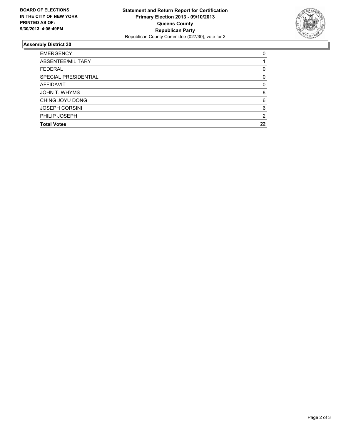

### **Assembly District 30**

| ABSENTEE/MILITARY<br><b>FEDERAL</b><br>SPECIAL PRESIDENTIAL<br><b>AFFIDAVIT</b><br>JOHN T. WHYMS<br>CHING JOYU DONG<br><b>JOSEPH CORSINI</b><br>PHILIP JOSEPH<br><b>Total Votes</b> | <b>EMERGENCY</b> | 0        |
|-------------------------------------------------------------------------------------------------------------------------------------------------------------------------------------|------------------|----------|
|                                                                                                                                                                                     |                  |          |
|                                                                                                                                                                                     |                  | 0        |
|                                                                                                                                                                                     |                  | 0        |
|                                                                                                                                                                                     |                  | $\Omega$ |
|                                                                                                                                                                                     |                  | 8        |
|                                                                                                                                                                                     |                  | 6        |
|                                                                                                                                                                                     |                  | 6        |
|                                                                                                                                                                                     |                  | 2        |
|                                                                                                                                                                                     |                  | 22       |